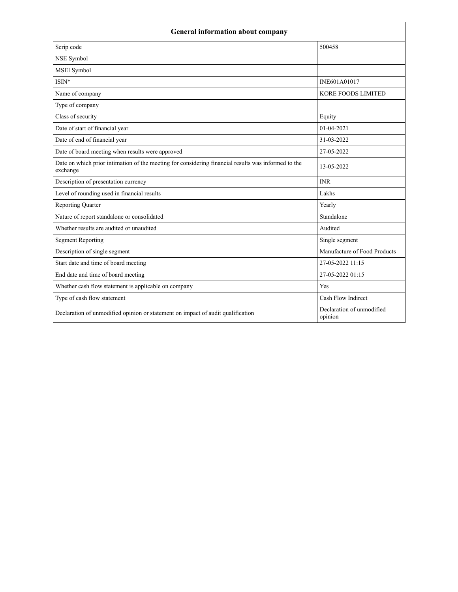| <b>General information about company</b>                                                                        |                                      |  |
|-----------------------------------------------------------------------------------------------------------------|--------------------------------------|--|
| Scrip code                                                                                                      | 500458                               |  |
| NSE Symbol                                                                                                      |                                      |  |
| MSEI Symbol                                                                                                     |                                      |  |
| ISIN*                                                                                                           | INE601A01017                         |  |
| Name of company                                                                                                 | <b>KORE FOODS LIMITED</b>            |  |
| Type of company                                                                                                 |                                      |  |
| Class of security                                                                                               | Equity                               |  |
| Date of start of financial year                                                                                 | 01-04-2021                           |  |
| Date of end of financial year                                                                                   | 31-03-2022                           |  |
| Date of board meeting when results were approved                                                                | 27-05-2022                           |  |
| Date on which prior intimation of the meeting for considering financial results was informed to the<br>exchange | 13-05-2022                           |  |
| Description of presentation currency                                                                            | <b>INR</b>                           |  |
| Level of rounding used in financial results                                                                     | Lakhs                                |  |
| Reporting Quarter                                                                                               | Yearly                               |  |
| Nature of report standalone or consolidated                                                                     | Standalone                           |  |
| Whether results are audited or unaudited                                                                        | Audited                              |  |
| <b>Segment Reporting</b>                                                                                        | Single segment                       |  |
| Description of single segment                                                                                   | Manufacture of Food Products         |  |
| Start date and time of board meeting                                                                            | 27-05-2022 11:15                     |  |
| End date and time of board meeting                                                                              | 27-05-2022 01:15                     |  |
| Whether cash flow statement is applicable on company                                                            | Yes                                  |  |
| Type of cash flow statement                                                                                     | Cash Flow Indirect                   |  |
| Declaration of unmodified opinion or statement on impact of audit qualification                                 | Declaration of unmodified<br>opinion |  |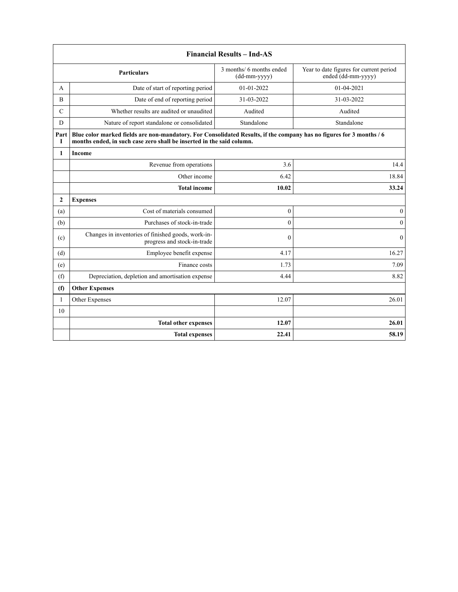| <b>Financial Results - Ind-AS</b> |                                                                                                                                                                                               |            |                  |  |  |  |
|-----------------------------------|-----------------------------------------------------------------------------------------------------------------------------------------------------------------------------------------------|------------|------------------|--|--|--|
|                                   | 3 months/ 6 months ended<br>Year to date figures for current period<br><b>Particulars</b><br>ended (dd-mm-yyyy)<br>(dd-mm-yyyy)                                                               |            |                  |  |  |  |
| A                                 | Date of start of reporting period                                                                                                                                                             | 01-01-2022 | 01-04-2021       |  |  |  |
| B                                 | Date of end of reporting period                                                                                                                                                               | 31-03-2022 | 31-03-2022       |  |  |  |
| $\mathcal{C}$                     | Whether results are audited or unaudited                                                                                                                                                      | Audited    | Audited          |  |  |  |
| D                                 | Nature of report standalone or consolidated                                                                                                                                                   | Standalone | Standalone       |  |  |  |
| Part<br>L                         | Blue color marked fields are non-mandatory. For Consolidated Results, if the company has no figures for 3 months / 6<br>months ended, in such case zero shall be inserted in the said column. |            |                  |  |  |  |
| $\mathbf{1}$                      | <b>Income</b>                                                                                                                                                                                 |            |                  |  |  |  |
|                                   | Revenue from operations                                                                                                                                                                       | 3.6        | 14.4             |  |  |  |
|                                   | Other income                                                                                                                                                                                  | 6.42       | 18.84            |  |  |  |
|                                   | <b>Total income</b>                                                                                                                                                                           | 10.02      | 33.24            |  |  |  |
| $\overline{2}$                    | <b>Expenses</b>                                                                                                                                                                               |            |                  |  |  |  |
| (a)                               | Cost of materials consumed                                                                                                                                                                    | 0          | $\boldsymbol{0}$ |  |  |  |
| (b)                               | Purchases of stock-in-trade                                                                                                                                                                   | $\theta$   | $\mathbf{0}$     |  |  |  |
| (c)                               | Changes in inventories of finished goods, work-in-<br>progress and stock-in-trade                                                                                                             | $\theta$   | $\mathbf{0}$     |  |  |  |
| (d)                               | Employee benefit expense                                                                                                                                                                      | 4.17       | 16.27            |  |  |  |
| (e)                               | Finance costs                                                                                                                                                                                 | 1.73       | 7.09             |  |  |  |
| (f)                               | Depreciation, depletion and amortisation expense                                                                                                                                              | 4.44       | 8.82             |  |  |  |
| (f)                               | <b>Other Expenses</b>                                                                                                                                                                         |            |                  |  |  |  |
| $\mathbf{1}$                      | Other Expenses                                                                                                                                                                                | 12.07      | 26.01            |  |  |  |
| 10                                |                                                                                                                                                                                               |            |                  |  |  |  |
|                                   | <b>Total other expenses</b>                                                                                                                                                                   | 12.07      | 26.01            |  |  |  |
|                                   | <b>Total expenses</b>                                                                                                                                                                         | 22.41      | 58.19            |  |  |  |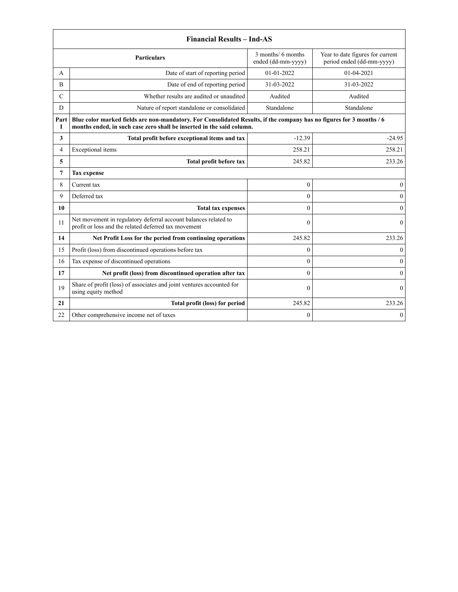|           | <b>Financial Results - Ind-AS</b>                                                                                                                                                             |                                          |                                                               |  |  |
|-----------|-----------------------------------------------------------------------------------------------------------------------------------------------------------------------------------------------|------------------------------------------|---------------------------------------------------------------|--|--|
|           | Particulars                                                                                                                                                                                   | 3 months/ 6 months<br>ended (dd-mm-yyyy) | Year to date figures for current<br>period ended (dd-mm-yyyy) |  |  |
| A         | Date of start of reporting period                                                                                                                                                             | 01-01-2022                               | 01-04-2021                                                    |  |  |
| B         | Date of end of reporting period                                                                                                                                                               | 31-03-2022                               | 31-03-2022                                                    |  |  |
| C         | Whether results are audited or unaudited                                                                                                                                                      | Audited                                  | Audited                                                       |  |  |
| D         | Nature of report standalone or consolidated                                                                                                                                                   | Standalone                               | Standalone                                                    |  |  |
| Part<br>T | Blue color marked fields are non-mandatory. For Consolidated Results, if the company has no figures for 3 months / 6<br>months ended, in such case zero shall be inserted in the said column. |                                          |                                                               |  |  |
| 3         | Total profit before exceptional items and tax                                                                                                                                                 | $-12.39$                                 | $-24.95$                                                      |  |  |
| 4         | Exceptional items                                                                                                                                                                             | 258.21                                   | 258.21                                                        |  |  |
| 5         | Total profit before tax                                                                                                                                                                       | 245.82                                   | 233.26                                                        |  |  |
| 7         | <b>Tax expense</b>                                                                                                                                                                            |                                          |                                                               |  |  |
| 8         | Current tax                                                                                                                                                                                   | $\boldsymbol{0}$                         | $\boldsymbol{0}$                                              |  |  |
| 9         | Deferred tax                                                                                                                                                                                  | $\theta$                                 | $\mathbf{0}$                                                  |  |  |
| 10        | <b>Total tax expenses</b>                                                                                                                                                                     | $\theta$                                 | $\mathbf{0}$                                                  |  |  |
| 11        | Net movement in regulatory deferral account balances related to<br>profit or loss and the related deferred tax movement                                                                       | $\theta$                                 | $\theta$                                                      |  |  |
| 14        | Net Profit Loss for the period from continuing operations                                                                                                                                     | 245.82                                   | 233.26                                                        |  |  |
| 15        | Profit (loss) from discontinued operations before tax                                                                                                                                         | $\mathbf{0}$                             | $\mathbf{0}$                                                  |  |  |
| 16        | Tax expense of discontinued operations                                                                                                                                                        | $\theta$                                 | $\mathbf{0}$                                                  |  |  |
| 17        | Net profit (loss) from discontinued operation after tax                                                                                                                                       | $\theta$                                 | $\theta$                                                      |  |  |
| 19        | Share of profit (loss) of associates and joint ventures accounted for<br>using equity method                                                                                                  | 0                                        | $\Omega$                                                      |  |  |
| 21        | Total profit (loss) for period                                                                                                                                                                | 245.82                                   | 233.26                                                        |  |  |
| 22        | Other comprehensive income net of taxes                                                                                                                                                       | $\theta$                                 | $\mathbf{0}$                                                  |  |  |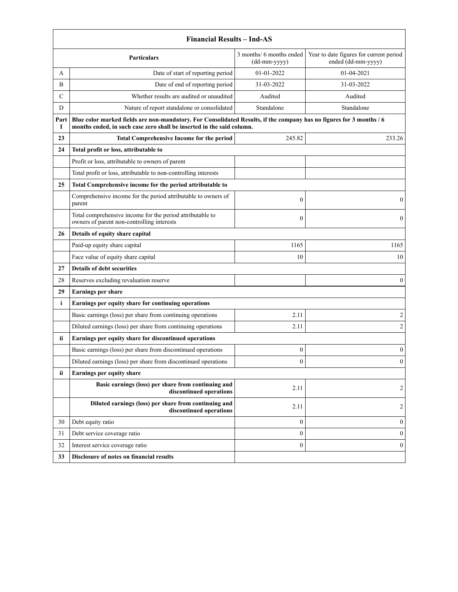|           | <b>Financial Results - Ind-AS</b>                                                                                                                                                             |                                          |                                                               |  |  |
|-----------|-----------------------------------------------------------------------------------------------------------------------------------------------------------------------------------------------|------------------------------------------|---------------------------------------------------------------|--|--|
|           | Particulars                                                                                                                                                                                   | 3 months/ 6 months ended<br>(dd-mm-yyyy) | Year to date figures for current period<br>ended (dd-mm-yyyy) |  |  |
| А         | Date of start of reporting period                                                                                                                                                             | 01-01-2022                               | 01-04-2021                                                    |  |  |
| В         | Date of end of reporting period                                                                                                                                                               | 31-03-2022                               | 31-03-2022                                                    |  |  |
| C         | Whether results are audited or unaudited                                                                                                                                                      | Audited                                  | Audited                                                       |  |  |
| D         | Nature of report standalone or consolidated                                                                                                                                                   | Standalone                               | Standalone                                                    |  |  |
| Part<br>1 | Blue color marked fields are non-mandatory. For Consolidated Results, if the company has no figures for 3 months / 6<br>months ended, in such case zero shall be inserted in the said column. |                                          |                                                               |  |  |
| 23        | <b>Total Comprehensive Income for the period</b>                                                                                                                                              | 245.82                                   | 233.26                                                        |  |  |
| 24        | Total profit or loss, attributable to                                                                                                                                                         |                                          |                                                               |  |  |
|           | Profit or loss, attributable to owners of parent                                                                                                                                              |                                          |                                                               |  |  |
|           | Total profit or loss, attributable to non-controlling interests                                                                                                                               |                                          |                                                               |  |  |
| 25        | Total Comprehensive income for the period attributable to                                                                                                                                     |                                          |                                                               |  |  |
|           | Comprehensive income for the period attributable to owners of<br>parent                                                                                                                       | $\boldsymbol{0}$                         | 0                                                             |  |  |
|           | Total comprehensive income for the period attributable to<br>owners of parent non-controlling interests                                                                                       | $\theta$                                 | $\mathbf{0}$                                                  |  |  |
| 26        | Details of equity share capital                                                                                                                                                               |                                          |                                                               |  |  |
|           | Paid-up equity share capital                                                                                                                                                                  | 1165                                     | 1165                                                          |  |  |
|           | Face value of equity share capital                                                                                                                                                            | 10                                       | 10                                                            |  |  |
| 27        | <b>Details of debt securities</b>                                                                                                                                                             |                                          |                                                               |  |  |
| 28        | Reserves excluding revaluation reserve                                                                                                                                                        |                                          | $\boldsymbol{0}$                                              |  |  |
| 29        | <b>Earnings per share</b>                                                                                                                                                                     |                                          |                                                               |  |  |
| i         | Earnings per equity share for continuing operations                                                                                                                                           |                                          |                                                               |  |  |
|           | Basic earnings (loss) per share from continuing operations                                                                                                                                    | 2.11                                     | 2                                                             |  |  |
|           | Diluted earnings (loss) per share from continuing operations                                                                                                                                  | 2.11                                     | $\overline{c}$                                                |  |  |
| ii        | Earnings per equity share for discontinued operations                                                                                                                                         |                                          |                                                               |  |  |
|           | Basic earnings (loss) per share from discontinued operations                                                                                                                                  | $\boldsymbol{0}$                         | $\boldsymbol{0}$                                              |  |  |
|           | Diluted earnings (loss) per share from discontinued operations                                                                                                                                | $\mathbf{0}$                             | $\overline{0}$                                                |  |  |
| ii.       | Earnings per equity share                                                                                                                                                                     |                                          |                                                               |  |  |
|           | Basic earnings (loss) per share from continuing and<br>discontinued operations                                                                                                                | 2.11                                     | 2                                                             |  |  |
|           | Diluted earnings (loss) per share from continuing and<br>discontinued operations                                                                                                              | 2.11                                     | 2                                                             |  |  |
| 30        | Debt equity ratio                                                                                                                                                                             | $\boldsymbol{0}$                         | $\mathbf{0}$                                                  |  |  |
| 31        | Debt service coverage ratio                                                                                                                                                                   | $\boldsymbol{0}$                         | $\mathbf{0}$                                                  |  |  |
| 32        | Interest service coverage ratio                                                                                                                                                               | $\overline{0}$                           | $\boldsymbol{0}$                                              |  |  |
| 33        | Disclosure of notes on financial results                                                                                                                                                      |                                          |                                                               |  |  |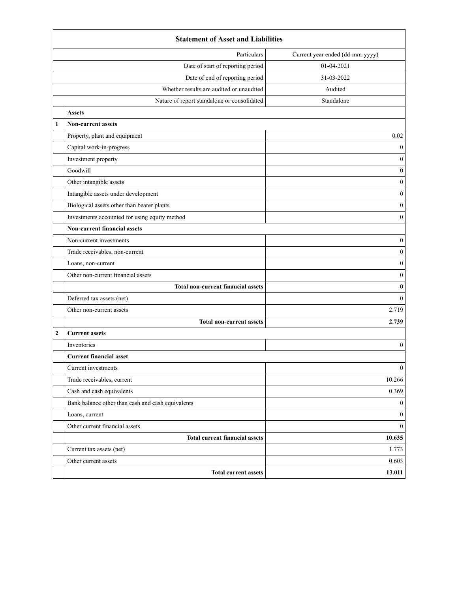|              | <b>Statement of Asset and Liabilities</b>         |                                 |  |  |
|--------------|---------------------------------------------------|---------------------------------|--|--|
|              | Particulars                                       | Current year ended (dd-mm-yyyy) |  |  |
|              | Date of start of reporting period                 | 01-04-2021                      |  |  |
|              | Date of end of reporting period                   | 31-03-2022                      |  |  |
|              | Whether results are audited or unaudited          | Audited                         |  |  |
|              | Nature of report standalone or consolidated       | Standalone                      |  |  |
|              | <b>Assets</b>                                     |                                 |  |  |
| 1            | <b>Non-current assets</b>                         |                                 |  |  |
|              | Property, plant and equipment                     | 0.02                            |  |  |
|              | Capital work-in-progress                          | $\bf{0}$                        |  |  |
|              | Investment property                               | $\boldsymbol{0}$                |  |  |
|              | Goodwill                                          | $\boldsymbol{0}$                |  |  |
|              | Other intangible assets                           | $\boldsymbol{0}$                |  |  |
|              | Intangible assets under development               | $\boldsymbol{0}$                |  |  |
|              | Biological assets other than bearer plants        | $\boldsymbol{0}$                |  |  |
|              | Investments accounted for using equity method     | $\boldsymbol{0}$                |  |  |
|              | <b>Non-current financial assets</b>               |                                 |  |  |
|              | Non-current investments                           | $\bf{0}$                        |  |  |
|              | Trade receivables, non-current                    | $\boldsymbol{0}$                |  |  |
|              | Loans, non-current                                | $\boldsymbol{0}$                |  |  |
|              | Other non-current financial assets                | $\boldsymbol{0}$                |  |  |
|              | Total non-current financial assets                | $\bf{0}$                        |  |  |
|              | Deferred tax assets (net)                         | $\mathbf{0}$                    |  |  |
|              | Other non-current assets                          | 2.719                           |  |  |
|              | <b>Total non-current assets</b>                   | 2.739                           |  |  |
| $\mathbf{2}$ | <b>Current assets</b>                             |                                 |  |  |
|              | <b>Inventories</b>                                | $\mathbf{0}$                    |  |  |
|              | <b>Current financial asset</b>                    |                                 |  |  |
|              | Current investments                               | $\mathbf{0}$                    |  |  |
|              | Trade receivables, current                        | 10.266                          |  |  |
|              | Cash and cash equivalents                         | 0.369                           |  |  |
|              | Bank balance other than cash and cash equivalents | $\mathbf{0}$                    |  |  |
|              | Loans, current                                    | $\mathbf{0}$                    |  |  |
|              | Other current financial assets                    | $\mathbf{0}$                    |  |  |
|              | <b>Total current financial assets</b>             | 10.635                          |  |  |
|              | Current tax assets (net)                          | 1.773                           |  |  |
|              | Other current assets                              | 0.603                           |  |  |
|              | <b>Total current assets</b>                       | 13.011                          |  |  |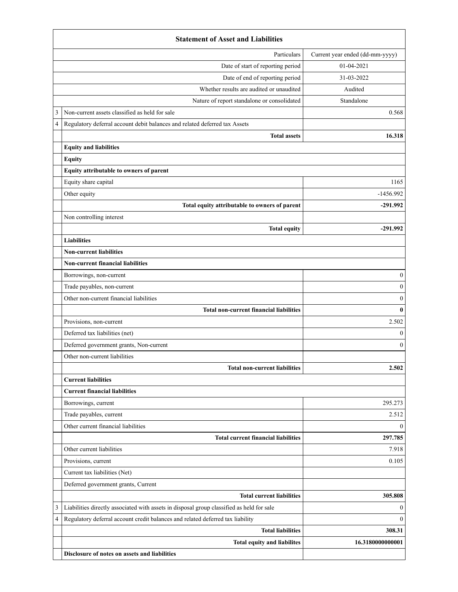|                                                | <b>Statement of Asset and Liabilities</b>                                                 |                                 |  |  |  |
|------------------------------------------------|-------------------------------------------------------------------------------------------|---------------------------------|--|--|--|
|                                                | Particulars                                                                               | Current year ended (dd-mm-yyyy) |  |  |  |
|                                                | Date of start of reporting period                                                         | 01-04-2021                      |  |  |  |
|                                                | Date of end of reporting period                                                           | 31-03-2022                      |  |  |  |
|                                                | Whether results are audited or unaudited                                                  | Audited                         |  |  |  |
|                                                | Nature of report standalone or consolidated                                               | Standalone                      |  |  |  |
| 3                                              | Non-current assets classified as held for sale                                            | 0.568                           |  |  |  |
| 4                                              | Regulatory deferral account debit balances and related deferred tax Assets                |                                 |  |  |  |
|                                                | <b>Total assets</b>                                                                       | 16.318                          |  |  |  |
|                                                | <b>Equity and liabilities</b>                                                             |                                 |  |  |  |
|                                                | <b>Equity</b>                                                                             |                                 |  |  |  |
|                                                | Equity attributable to owners of parent                                                   |                                 |  |  |  |
|                                                | Equity share capital                                                                      | 1165                            |  |  |  |
|                                                | Other equity                                                                              | $-1456.992$                     |  |  |  |
|                                                | Total equity attributable to owners of parent                                             | -291.992                        |  |  |  |
|                                                | Non controlling interest                                                                  |                                 |  |  |  |
|                                                | <b>Total equity</b>                                                                       | $-291.992$                      |  |  |  |
|                                                | <b>Liabilities</b>                                                                        |                                 |  |  |  |
|                                                | <b>Non-current liabilities</b>                                                            |                                 |  |  |  |
|                                                | <b>Non-current financial liabilities</b>                                                  |                                 |  |  |  |
|                                                | Borrowings, non-current                                                                   | $\bf{0}$                        |  |  |  |
|                                                | Trade payables, non-current                                                               | $\boldsymbol{0}$                |  |  |  |
|                                                | Other non-current financial liabilities                                                   | $\boldsymbol{0}$                |  |  |  |
| <b>Total non-current financial liabilities</b> |                                                                                           |                                 |  |  |  |
| Provisions, non-current                        |                                                                                           | 2.502                           |  |  |  |
|                                                | Deferred tax liabilities (net)                                                            | $\boldsymbol{0}$                |  |  |  |
|                                                | Deferred government grants, Non-current                                                   | $\mathbf{0}$                    |  |  |  |
| Other non-current liabilities                  |                                                                                           |                                 |  |  |  |
| Total non-current liabilities                  |                                                                                           |                                 |  |  |  |
|                                                | <b>Current liabilities</b>                                                                |                                 |  |  |  |
|                                                | <b>Current financial liabilities</b>                                                      |                                 |  |  |  |
|                                                | Borrowings, current                                                                       | 295.273                         |  |  |  |
|                                                | Trade payables, current                                                                   | 2.512                           |  |  |  |
|                                                | Other current financial liabilities                                                       | $\Omega$                        |  |  |  |
|                                                | <b>Total current financial liabilities</b>                                                | 297.785                         |  |  |  |
|                                                | Other current liabilities                                                                 | 7.918                           |  |  |  |
|                                                | Provisions, current                                                                       | 0.105                           |  |  |  |
|                                                | Current tax liabilities (Net)                                                             |                                 |  |  |  |
|                                                | Deferred government grants, Current                                                       |                                 |  |  |  |
|                                                | <b>Total current liabilities</b>                                                          | 305.808                         |  |  |  |
| 3                                              | Liabilities directly associated with assets in disposal group classified as held for sale | $\Omega$                        |  |  |  |
| 4                                              | Regulatory deferral account credit balances and related deferred tax liability            | $\theta$                        |  |  |  |
|                                                | <b>Total liabilities</b>                                                                  | 308.31                          |  |  |  |
|                                                | <b>Total equity and liabilites</b>                                                        | 16.3180000000001                |  |  |  |
|                                                | Disclosure of notes on assets and liabilities                                             |                                 |  |  |  |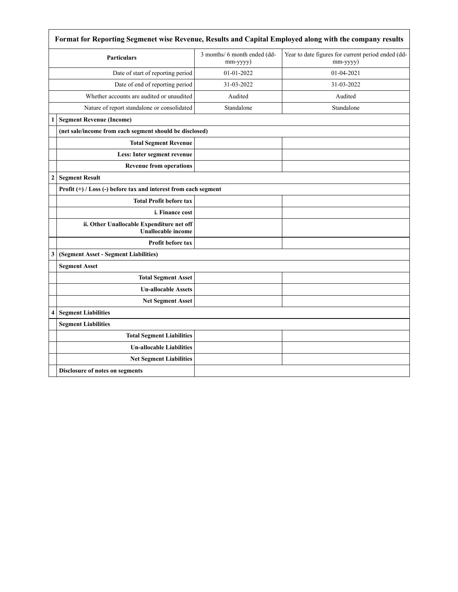|                                                                     | <b>Particulars</b>                                                     | 3 months/ 6 month ended (dd- | Year to date figures for current period ended (dd- |
|---------------------------------------------------------------------|------------------------------------------------------------------------|------------------------------|----------------------------------------------------|
|                                                                     |                                                                        | mm-yyyy)                     | mm-yyyy)                                           |
|                                                                     | Date of start of reporting period                                      | 01-01-2022                   | 01-04-2021                                         |
|                                                                     | Date of end of reporting period                                        | 31-03-2022                   | 31-03-2022                                         |
|                                                                     | Whether accounts are audited or unaudited                              | Audited                      | Audited                                            |
|                                                                     | Nature of report standalone or consolidated                            | Standalone                   | Standalone                                         |
| 1                                                                   | <b>Segment Revenue (Income)</b>                                        |                              |                                                    |
|                                                                     | (net sale/income from each segment should be disclosed)                |                              |                                                    |
|                                                                     | <b>Total Segment Revenue</b>                                           |                              |                                                    |
|                                                                     | Less: Inter segment revenue                                            |                              |                                                    |
|                                                                     | <b>Revenue from operations</b>                                         |                              |                                                    |
| $\mathbf{2}$                                                        | <b>Segment Result</b>                                                  |                              |                                                    |
| Profit $(+)$ / Loss $(-)$ before tax and interest from each segment |                                                                        |                              |                                                    |
|                                                                     | <b>Total Profit before tax</b>                                         |                              |                                                    |
|                                                                     | <i>i. Finance cost</i>                                                 |                              |                                                    |
|                                                                     | ii. Other Unallocable Expenditure net off<br><b>Unallocable income</b> |                              |                                                    |
|                                                                     | <b>Profit before tax</b>                                               |                              |                                                    |
| 3                                                                   | (Segment Asset - Segment Liabilities)                                  |                              |                                                    |
|                                                                     | <b>Segment Asset</b>                                                   |                              |                                                    |
|                                                                     | <b>Total Segment Asset</b>                                             |                              |                                                    |
|                                                                     | <b>Un-allocable Assets</b>                                             |                              |                                                    |
|                                                                     | <b>Net Segment Asset</b>                                               |                              |                                                    |
| 4                                                                   | <b>Segment Liabilities</b>                                             |                              |                                                    |
|                                                                     | <b>Segment Liabilities</b>                                             |                              |                                                    |
|                                                                     | <b>Total Segment Liabilities</b>                                       |                              |                                                    |
|                                                                     | <b>Un-allocable Liabilities</b>                                        |                              |                                                    |
|                                                                     | <b>Net Segment Liabilities</b>                                         |                              |                                                    |
|                                                                     | Disclosure of notes on segments                                        |                              |                                                    |
|                                                                     |                                                                        |                              |                                                    |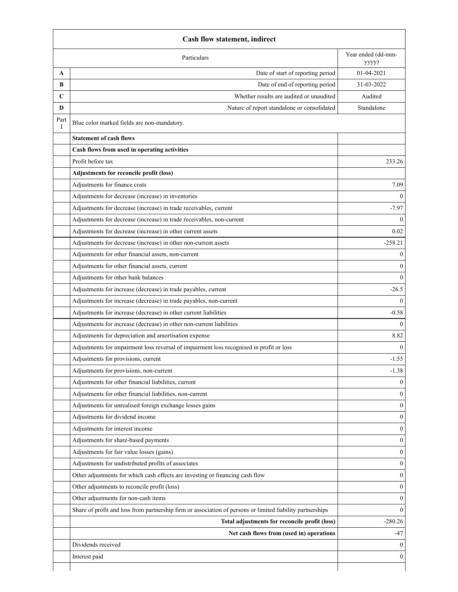|            | Particulars                                                                                                | Year ended (dd-mm-<br>yyyy) |
|------------|------------------------------------------------------------------------------------------------------------|-----------------------------|
| A          | Date of start of reporting period                                                                          | 01-04-2021                  |
| B          | Date of end of reporting period                                                                            | 31-03-2022                  |
| C          | Whether results are audited or unaudited                                                                   | Audited                     |
| D          | Nature of report standalone or consolidated                                                                | Standalone                  |
| Part<br>Ι. | Blue color marked fields are non-mandatory.                                                                |                             |
|            | <b>Statement of cash flows</b>                                                                             |                             |
|            | Cash flows from used in operating activities                                                               |                             |
|            | Profit before tax                                                                                          | 233.26                      |
|            | Adjustments for reconcile profit (loss)                                                                    |                             |
|            | Adjustments for finance costs                                                                              |                             |
|            | Adjustments for decrease (increase) in inventories                                                         |                             |
|            | Adjustments for decrease (increase) in trade receivables, current                                          |                             |
|            | Adjustments for decrease (increase) in trade receivables, non-current                                      |                             |
|            | Adjustments for decrease (increase) in other current assets                                                |                             |
|            | Adjustments for decrease (increase) in other non-current assets                                            | $-258.21$                   |
|            | Adjustments for other financial assets, non-current                                                        |                             |
|            | Adjustments for other financial assets, current                                                            |                             |
|            | Adjustments for other bank balances                                                                        |                             |
|            | Adjustments for increase (decrease) in trade payables, current                                             |                             |
|            | Adjustments for increase (decrease) in trade payables, non-current                                         |                             |
|            | Adjustments for increase (decrease) in other current liabilities                                           |                             |
|            | Adjustments for increase (decrease) in other non-current liabilities                                       |                             |
|            | Adjustments for depreciation and amortisation expense                                                      |                             |
|            | Adjustments for impairment loss reversal of impairment loss recognised in profit or loss                   |                             |
|            | Adjustments for provisions, current                                                                        |                             |
|            | Adjustments for provisions, non-current                                                                    |                             |
|            | Adjustments for other financial liabilities, current                                                       |                             |
|            | Adjustments for other financial liabilities, non-current                                                   |                             |
|            | Adjustments for unrealised foreign exchange losses gains                                                   |                             |
|            | Adjustments for dividend income                                                                            |                             |
|            | Adjustments for interest income                                                                            |                             |
|            | Adjustments for share-based payments                                                                       |                             |
|            | Adjustments for fair value losses (gains)                                                                  |                             |
|            | Adjustments for undistributed profits of associates                                                        |                             |
|            | Other adjustments for which cash effects are investing or financing cash flow                              |                             |
|            | Other adjustments to reconcile profit (loss)                                                               |                             |
|            | Other adjustments for non-cash items                                                                       |                             |
|            | Share of profit and loss from partnership firm or association of persons or limited liability partnerships |                             |
|            | Total adjustments for reconcile profit (loss)                                                              | $-280.26$                   |
|            | Net cash flows from (used in) operations                                                                   |                             |
|            | Dividends received                                                                                         |                             |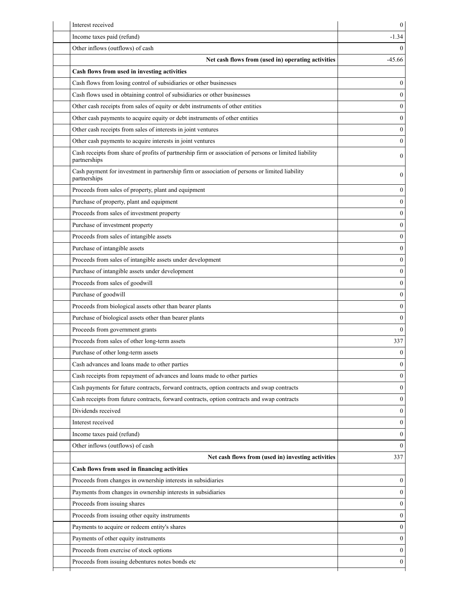| Income taxes paid (refund)                                                                                     | $-1.34$  |
|----------------------------------------------------------------------------------------------------------------|----------|
| Other inflows (outflows) of cash                                                                               | 0        |
| Net cash flows from (used in) operating activities                                                             | $-45.66$ |
| Cash flows from used in investing activities                                                                   |          |
| Cash flows from losing control of subsidiaries or other businesses                                             | $_{0}$   |
| Cash flows used in obtaining control of subsidiaries or other businesses                                       | O        |
| Other cash receipts from sales of equity or debt instruments of other entities                                 |          |
| Other cash payments to acquire equity or debt instruments of other entities                                    | 0        |
| Other cash receipts from sales of interests in joint ventures                                                  | $_{0}$   |
| Other cash payments to acquire interests in joint ventures                                                     | 0        |
| Cash receipts from share of profits of partnership firm or association of persons or limited liability         |          |
| partnerships                                                                                                   | 0        |
| Cash payment for investment in partnership firm or association of persons or limited liability<br>partnerships | 0        |
| Proceeds from sales of property, plant and equipment                                                           | $_{0}$   |
| Purchase of property, plant and equipment                                                                      | 0        |
| Proceeds from sales of investment property                                                                     |          |
| Purchase of investment property                                                                                | 0        |
| Proceeds from sales of intangible assets                                                                       |          |
| Purchase of intangible assets                                                                                  | 0        |
| Proceeds from sales of intangible assets under development                                                     | 0        |
| Purchase of intangible assets under development                                                                | 0        |
| Proceeds from sales of goodwill                                                                                | 0        |
| Purchase of goodwill                                                                                           |          |
| Proceeds from biological assets other than bearer plants                                                       | 0        |
| Purchase of biological assets other than bearer plants                                                         | 0        |
| Proceeds from government grants                                                                                | 0        |
| Proceeds from sales of other long-term assets                                                                  | 337      |
| Purchase of other long-term assets                                                                             | $\theta$ |
| Cash advances and loans made to other parties                                                                  | 0        |
| Cash receipts from repayment of advances and loans made to other parties                                       | 0        |
| Cash payments for future contracts, forward contracts, option contracts and swap contracts                     | 0        |
| Cash receipts from future contracts, forward contracts, option contracts and swap contracts                    | 0        |
| Dividends received                                                                                             | 0        |
| Interest received                                                                                              | 0        |
| Income taxes paid (refund)                                                                                     | 0        |
| Other inflows (outflows) of cash                                                                               | $_{0}$   |
| Net cash flows from (used in) investing activities                                                             | 337      |
| Cash flows from used in financing activities                                                                   |          |
| Proceeds from changes in ownership interests in subsidiaries                                                   | 0        |
| Payments from changes in ownership interests in subsidiaries                                                   |          |
| Proceeds from issuing shares                                                                                   | 0        |
| Proceeds from issuing other equity instruments                                                                 | 0        |
| Payments to acquire or redeem entity's shares                                                                  | 0        |
| Payments of other equity instruments                                                                           | 0        |
| Proceeds from exercise of stock options                                                                        | 0        |
| Proceeds from issuing debentures notes bonds etc                                                               | 0        |